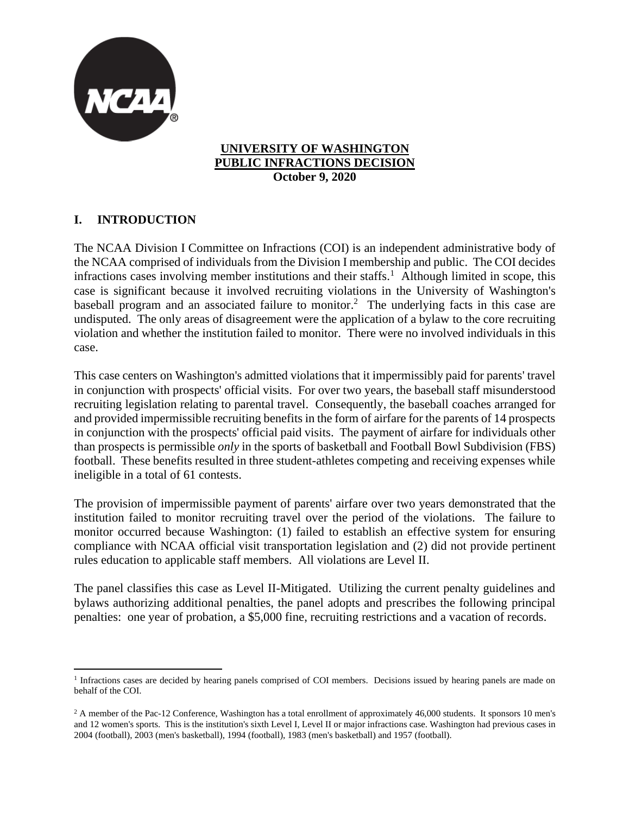

#### **UNIVERSITY OF WASHINGTON PUBLIC INFRACTIONS DECISION October 9, 2020**

# **I. INTRODUCTION**

The NCAA Division I Committee on Infractions (COI) is an independent administrative body of the NCAA comprised of individuals from the Division I membership and public. The COI decides infractions cases involving member institutions and their staffs.<sup>1</sup> Although limited in scope, this case is significant because it involved recruiting violations in the University of Washington's baseball program and an associated failure to monitor.<sup>2</sup> The underlying facts in this case are undisputed. The only areas of disagreement were the application of a bylaw to the core recruiting violation and whether the institution failed to monitor. There were no involved individuals in this case.

This case centers on Washington's admitted violations that it impermissibly paid for parents' travel in conjunction with prospects' official visits. For over two years, the baseball staff misunderstood recruiting legislation relating to parental travel. Consequently, the baseball coaches arranged for and provided impermissible recruiting benefits in the form of airfare for the parents of 14 prospects in conjunction with the prospects' official paid visits. The payment of airfare for individuals other than prospects is permissible *only* in the sports of basketball and Football Bowl Subdivision (FBS) football. These benefits resulted in three student-athletes competing and receiving expenses while ineligible in a total of 61 contests.

The provision of impermissible payment of parents' airfare over two years demonstrated that the institution failed to monitor recruiting travel over the period of the violations. The failure to monitor occurred because Washington: (1) failed to establish an effective system for ensuring compliance with NCAA official visit transportation legislation and (2) did not provide pertinent rules education to applicable staff members. All violations are Level II.

The panel classifies this case as Level II-Mitigated. Utilizing the current penalty guidelines and bylaws authorizing additional penalties, the panel adopts and prescribes the following principal penalties: one year of probation, a \$5,000 fine, recruiting restrictions and a vacation of records.

<sup>&</sup>lt;sup>1</sup> Infractions cases are decided by hearing panels comprised of COI members. Decisions issued by hearing panels are made on behalf of the COI.

 $2$  A member of the Pac-12 Conference, Washington has a total enrollment of approximately 46,000 students. It sponsors 10 men's and 12 women's sports. This is the institution's sixth Level I, Level II or major infractions case. Washington had previous cases in 2004 (football), 2003 (men's basketball), 1994 (football), 1983 (men's basketball) and 1957 (football).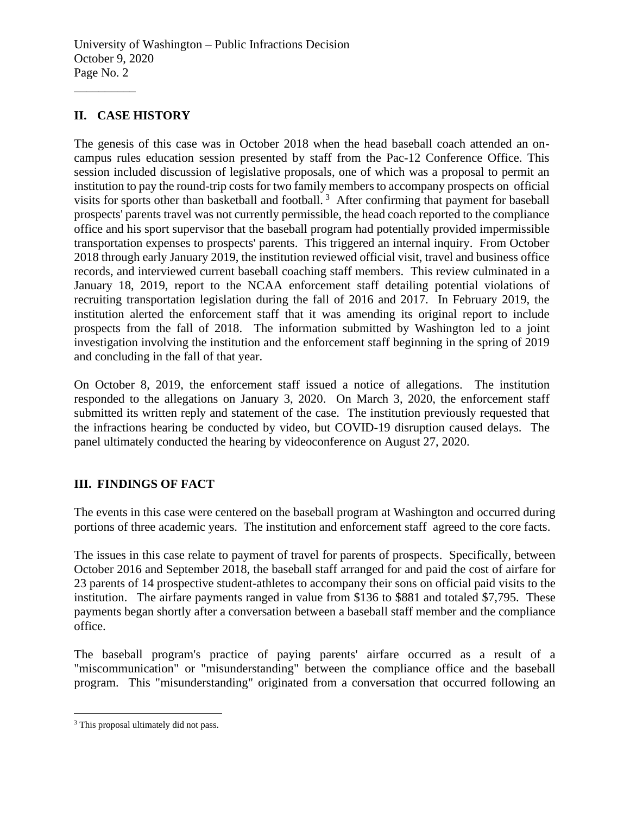## **II. CASE HISTORY**

\_\_\_\_\_\_\_\_\_\_

The genesis of this case was in October 2018 when the head baseball coach attended an oncampus rules education session presented by staff from the Pac-12 Conference Office. This session included discussion of legislative proposals, one of which was a proposal to permit an institution to pay the round-trip costs for two family members to accompany prospects on official visits for sports other than basketball and football.<sup>3</sup> After confirming that payment for baseball prospects' parents travel was not currently permissible, the head coach reported to the compliance office and his sport supervisor that the baseball program had potentially provided impermissible transportation expenses to prospects' parents. This triggered an internal inquiry. From October 2018 through early January 2019, the institution reviewed official visit, travel and business office records, and interviewed current baseball coaching staff members. This review culminated in a January 18, 2019, report to the NCAA enforcement staff detailing potential violations of recruiting transportation legislation during the fall of 2016 and 2017. In February 2019, the institution alerted the enforcement staff that it was amending its original report to include prospects from the fall of 2018. The information submitted by Washington led to a joint investigation involving the institution and the enforcement staff beginning in the spring of 2019 and concluding in the fall of that year.

On October 8, 2019, the enforcement staff issued a notice of allegations. The institution responded to the allegations on January 3, 2020. On March 3, 2020, the enforcement staff submitted its written reply and statement of the case. The institution previously requested that the infractions hearing be conducted by video, but COVID-19 disruption caused delays. The panel ultimately conducted the hearing by videoconference on August 27, 2020.

## **III. FINDINGS OF FACT**

The events in this case were centered on the baseball program at Washington and occurred during portions of three academic years. The institution and enforcement staff agreed to the core facts.

The issues in this case relate to payment of travel for parents of prospects. Specifically, between October 2016 and September 2018, the baseball staff arranged for and paid the cost of airfare for 23 parents of 14 prospective student-athletes to accompany their sons on official paid visits to the institution. The airfare payments ranged in value from \$136 to \$881 and totaled \$7,795. These payments began shortly after a conversation between a baseball staff member and the compliance office.

The baseball program's practice of paying parents' airfare occurred as a result of a "miscommunication" or "misunderstanding" between the compliance office and the baseball program. This "misunderstanding" originated from a conversation that occurred following an

<sup>&</sup>lt;sup>3</sup> This proposal ultimately did not pass.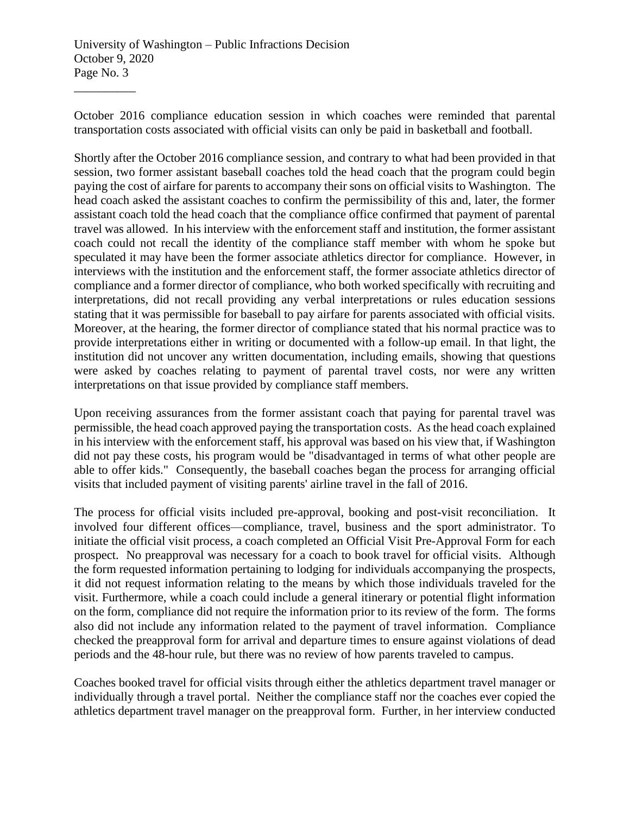October 2016 compliance education session in which coaches were reminded that parental transportation costs associated with official visits can only be paid in basketball and football.

Shortly after the October 2016 compliance session, and contrary to what had been provided in that session, two former assistant baseball coaches told the head coach that the program could begin paying the cost of airfare for parents to accompany their sons on official visits to Washington. The head coach asked the assistant coaches to confirm the permissibility of this and, later, the former assistant coach told the head coach that the compliance office confirmed that payment of parental travel was allowed. In his interview with the enforcement staff and institution, the former assistant coach could not recall the identity of the compliance staff member with whom he spoke but speculated it may have been the former associate athletics director for compliance. However, in interviews with the institution and the enforcement staff, the former associate athletics director of compliance and a former director of compliance, who both worked specifically with recruiting and interpretations, did not recall providing any verbal interpretations or rules education sessions stating that it was permissible for baseball to pay airfare for parents associated with official visits. Moreover, at the hearing, the former director of compliance stated that his normal practice was to provide interpretations either in writing or documented with a follow-up email. In that light, the institution did not uncover any written documentation, including emails, showing that questions were asked by coaches relating to payment of parental travel costs, nor were any written interpretations on that issue provided by compliance staff members.

Upon receiving assurances from the former assistant coach that paying for parental travel was permissible, the head coach approved paying the transportation costs. As the head coach explained in his interview with the enforcement staff, his approval was based on his view that, if Washington did not pay these costs, his program would be "disadvantaged in terms of what other people are able to offer kids." Consequently, the baseball coaches began the process for arranging official visits that included payment of visiting parents' airline travel in the fall of 2016.

The process for official visits included pre-approval, booking and post-visit reconciliation. It involved four different offices—compliance, travel, business and the sport administrator. To initiate the official visit process, a coach completed an Official Visit Pre-Approval Form for each prospect. No preapproval was necessary for a coach to book travel for official visits. Although the form requested information pertaining to lodging for individuals accompanying the prospects, it did not request information relating to the means by which those individuals traveled for the visit. Furthermore, while a coach could include a general itinerary or potential flight information on the form, compliance did not require the information prior to its review of the form. The forms also did not include any information related to the payment of travel information. Compliance checked the preapproval form for arrival and departure times to ensure against violations of dead periods and the 48-hour rule, but there was no review of how parents traveled to campus.

Coaches booked travel for official visits through either the athletics department travel manager or individually through a travel portal. Neither the compliance staff nor the coaches ever copied the athletics department travel manager on the preapproval form. Further, in her interview conducted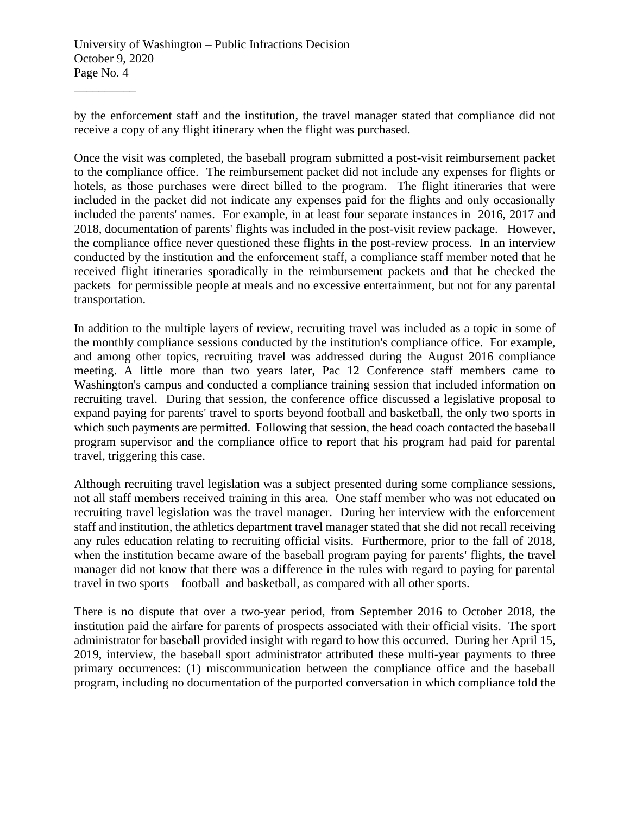by the enforcement staff and the institution, the travel manager stated that compliance did not receive a copy of any flight itinerary when the flight was purchased.

Once the visit was completed, the baseball program submitted a post-visit reimbursement packet to the compliance office. The reimbursement packet did not include any expenses for flights or hotels, as those purchases were direct billed to the program. The flight itineraries that were included in the packet did not indicate any expenses paid for the flights and only occasionally included the parents' names. For example, in at least four separate instances in 2016, 2017 and 2018, documentation of parents' flights was included in the post-visit review package. However, the compliance office never questioned these flights in the post-review process. In an interview conducted by the institution and the enforcement staff, a compliance staff member noted that he received flight itineraries sporadically in the reimbursement packets and that he checked the packets for permissible people at meals and no excessive entertainment, but not for any parental transportation.

In addition to the multiple layers of review, recruiting travel was included as a topic in some of the monthly compliance sessions conducted by the institution's compliance office. For example, and among other topics, recruiting travel was addressed during the August 2016 compliance meeting. A little more than two years later, Pac 12 Conference staff members came to Washington's campus and conducted a compliance training session that included information on recruiting travel. During that session, the conference office discussed a legislative proposal to expand paying for parents' travel to sports beyond football and basketball, the only two sports in which such payments are permitted. Following that session, the head coach contacted the baseball program supervisor and the compliance office to report that his program had paid for parental travel, triggering this case.

Although recruiting travel legislation was a subject presented during some compliance sessions, not all staff members received training in this area. One staff member who was not educated on recruiting travel legislation was the travel manager. During her interview with the enforcement staff and institution, the athletics department travel manager stated that she did not recall receiving any rules education relating to recruiting official visits. Furthermore, prior to the fall of 2018, when the institution became aware of the baseball program paying for parents' flights, the travel manager did not know that there was a difference in the rules with regard to paying for parental travel in two sports—football and basketball, as compared with all other sports.

There is no dispute that over a two-year period, from September 2016 to October 2018, the institution paid the airfare for parents of prospects associated with their official visits. The sport administrator for baseball provided insight with regard to how this occurred. During her April 15, 2019, interview, the baseball sport administrator attributed these multi-year payments to three primary occurrences: (1) miscommunication between the compliance office and the baseball program, including no documentation of the purported conversation in which compliance told the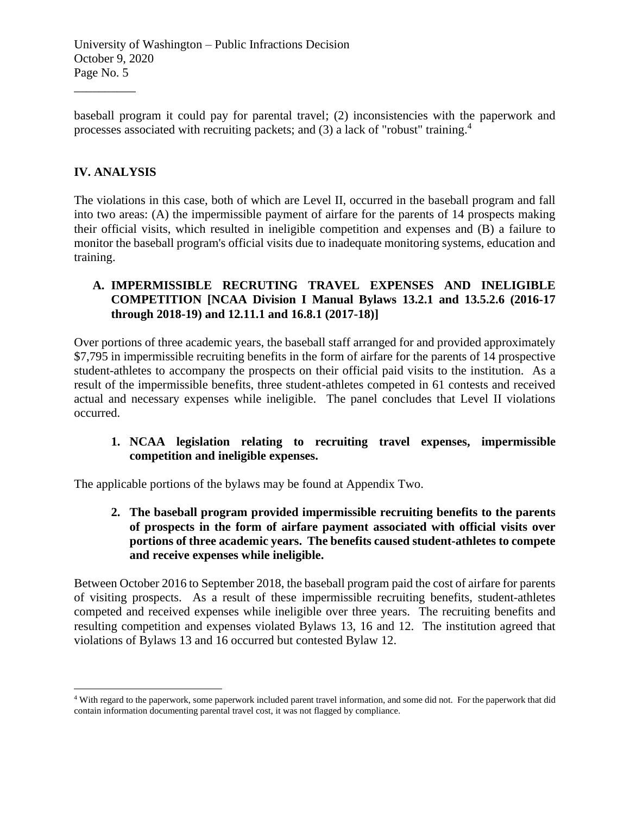baseball program it could pay for parental travel; (2) inconsistencies with the paperwork and processes associated with recruiting packets; and  $(3)$  a lack of "robust" training.<sup>4</sup>

# **IV. ANALYSIS**

\_\_\_\_\_\_\_\_\_\_

The violations in this case, both of which are Level II, occurred in the baseball program and fall into two areas: (A) the impermissible payment of airfare for the parents of 14 prospects making their official visits, which resulted in ineligible competition and expenses and (B) a failure to monitor the baseball program's official visits due to inadequate monitoring systems, education and training.

## **A. IMPERMISSIBLE RECRUTING TRAVEL EXPENSES AND INELIGIBLE COMPETITION [NCAA Division I Manual Bylaws 13.2.1 and 13.5.2.6 (2016-17 through 2018-19) and 12.11.1 and 16.8.1 (2017-18)]**

Over portions of three academic years, the baseball staff arranged for and provided approximately \$7,795 in impermissible recruiting benefits in the form of airfare for the parents of 14 prospective student-athletes to accompany the prospects on their official paid visits to the institution. As a result of the impermissible benefits, three student-athletes competed in 61 contests and received actual and necessary expenses while ineligible. The panel concludes that Level II violations occurred.

## **1. NCAA legislation relating to recruiting travel expenses, impermissible competition and ineligible expenses.**

The applicable portions of the bylaws may be found at Appendix Two.

**2. The baseball program provided impermissible recruiting benefits to the parents of prospects in the form of airfare payment associated with official visits over portions of three academic years. The benefits caused student-athletes to compete and receive expenses while ineligible.** 

Between October 2016 to September 2018, the baseball program paid the cost of airfare for parents of visiting prospects. As a result of these impermissible recruiting benefits, student-athletes competed and received expenses while ineligible over three years. The recruiting benefits and resulting competition and expenses violated Bylaws 13, 16 and 12. The institution agreed that violations of Bylaws 13 and 16 occurred but contested Bylaw 12.

<sup>4</sup> With regard to the paperwork, some paperwork included parent travel information, and some did not. For the paperwork that did contain information documenting parental travel cost, it was not flagged by compliance.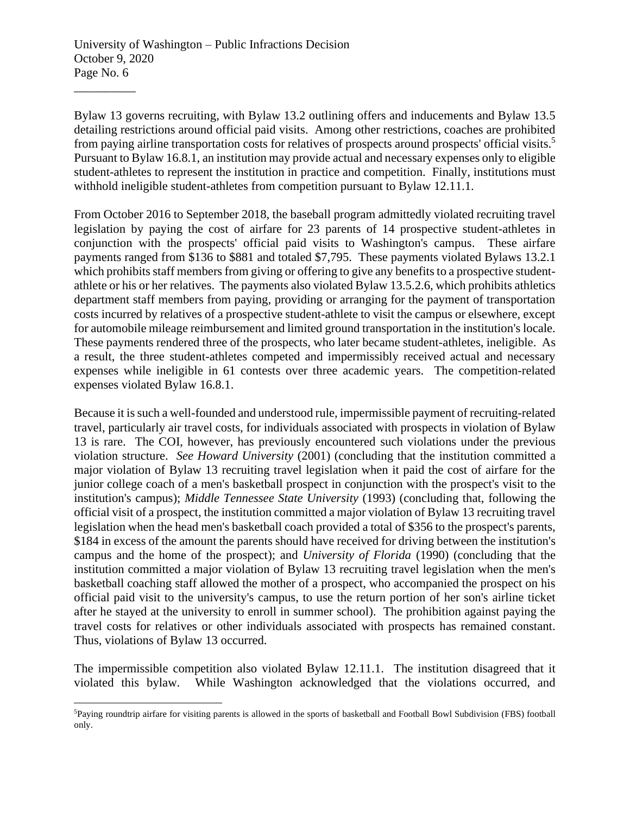Bylaw 13 governs recruiting, with Bylaw 13.2 outlining offers and inducements and Bylaw 13.5 detailing restrictions around official paid visits. Among other restrictions, coaches are prohibited from paying airline transportation costs for relatives of prospects around prospects' official visits.<sup>5</sup> Pursuant to Bylaw 16.8.1, an institution may provide actual and necessary expenses only to eligible student-athletes to represent the institution in practice and competition. Finally, institutions must withhold ineligible student-athletes from competition pursuant to Bylaw 12.11.1.

From October 2016 to September 2018, the baseball program admittedly violated recruiting travel legislation by paying the cost of airfare for 23 parents of 14 prospective student-athletes in conjunction with the prospects' official paid visits to Washington's campus. These airfare payments ranged from \$136 to \$881 and totaled \$7,795. These payments violated Bylaws 13.2.1 which prohibits staff members from giving or offering to give any benefits to a prospective studentathlete or his or her relatives. The payments also violated Bylaw 13.5.2.6, which prohibits athletics department staff members from paying, providing or arranging for the payment of transportation costs incurred by relatives of a prospective student-athlete to visit the campus or elsewhere, except for automobile mileage reimbursement and limited ground transportation in the institution's locale. These payments rendered three of the prospects, who later became student-athletes, ineligible. As a result, the three student-athletes competed and impermissibly received actual and necessary expenses while ineligible in 61 contests over three academic years. The competition-related expenses violated Bylaw 16.8.1.

Because it is such a well-founded and understood rule, impermissible payment of recruiting-related travel, particularly air travel costs, for individuals associated with prospects in violation of Bylaw 13 is rare. The COI, however, has previously encountered such violations under the previous violation structure. *See Howard University* (2001) (concluding that the institution committed a major violation of Bylaw 13 recruiting travel legislation when it paid the cost of airfare for the junior college coach of a men's basketball prospect in conjunction with the prospect's visit to the institution's campus); *Middle Tennessee State University* (1993) (concluding that, following the official visit of a prospect, the institution committed a major violation of Bylaw 13 recruiting travel legislation when the head men's basketball coach provided a total of \$356 to the prospect's parents, \$184 in excess of the amount the parents should have received for driving between the institution's campus and the home of the prospect); and *University of Florida* (1990) (concluding that the institution committed a major violation of Bylaw 13 recruiting travel legislation when the men's basketball coaching staff allowed the mother of a prospect, who accompanied the prospect on his official paid visit to the university's campus, to use the return portion of her son's airline ticket after he stayed at the university to enroll in summer school). The prohibition against paying the travel costs for relatives or other individuals associated with prospects has remained constant. Thus, violations of Bylaw 13 occurred.

The impermissible competition also violated Bylaw 12.11.1. The institution disagreed that it violated this bylaw. While Washington acknowledged that the violations occurred, and

<sup>5</sup>Paying roundtrip airfare for visiting parents is allowed in the sports of basketball and Football Bowl Subdivision (FBS) football only.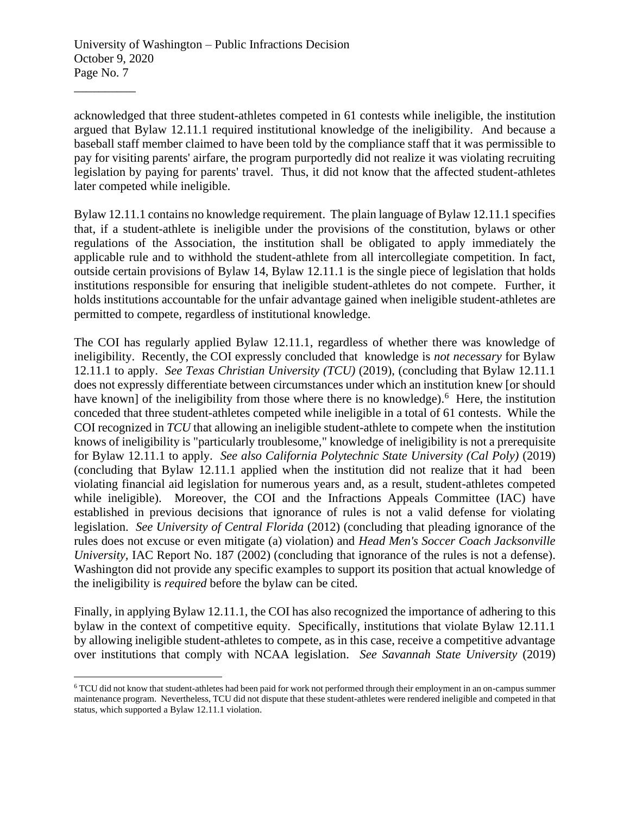acknowledged that three student-athletes competed in 61 contests while ineligible, the institution argued that Bylaw 12.11.1 required institutional knowledge of the ineligibility. And because a baseball staff member claimed to have been told by the compliance staff that it was permissible to pay for visiting parents' airfare, the program purportedly did not realize it was violating recruiting legislation by paying for parents' travel. Thus, it did not know that the affected student-athletes later competed while ineligible.

Bylaw 12.11.1 contains no knowledge requirement. The plain language of Bylaw 12.11.1 specifies that, if a student-athlete is ineligible under the provisions of the constitution, bylaws or other regulations of the Association, the institution shall be obligated to apply immediately the applicable rule and to withhold the student-athlete from all intercollegiate competition. In fact, outside certain provisions of Bylaw 14, Bylaw 12.11.1 is the single piece of legislation that holds institutions responsible for ensuring that ineligible student-athletes do not compete. Further, it holds institutions accountable for the unfair advantage gained when ineligible student-athletes are permitted to compete, regardless of institutional knowledge.

The COI has regularly applied Bylaw 12.11.1, regardless of whether there was knowledge of ineligibility. Recently, the COI expressly concluded that knowledge is *not necessary* for Bylaw 12.11.1 to apply. *See Texas Christian University (TCU)* (2019), (concluding that Bylaw 12.11.1 does not expressly differentiate between circumstances under which an institution knew [or should have known] of the ineligibility from those where there is no knowledge).<sup>6</sup> Here, the institution conceded that three student-athletes competed while ineligible in a total of 61 contests. While the COI recognized in *TCU* that allowing an ineligible student-athlete to compete when the institution knows of ineligibility is "particularly troublesome," knowledge of ineligibility is not a prerequisite for Bylaw 12.11.1 to apply. *See also California Polytechnic State University (Cal Poly)* (2019) (concluding that Bylaw 12.11.1 applied when the institution did not realize that it had been violating financial aid legislation for numerous years and, as a result, student-athletes competed while ineligible). Moreover, the COI and the Infractions Appeals Committee (IAC) have established in previous decisions that ignorance of rules is not a valid defense for violating legislation. *See University of Central Florida* (2012) (concluding that pleading ignorance of the rules does not excuse or even mitigate (a) violation) and *Head Men's Soccer Coach Jacksonville University, IAC Report No. 187 (2002) (concluding that ignorance of the rules is not a defense).* Washington did not provide any specific examples to support its position that actual knowledge of the ineligibility is *required* before the bylaw can be cited.

Finally, in applying Bylaw 12.11.1, the COI has also recognized the importance of adhering to this bylaw in the context of competitive equity. Specifically, institutions that violate Bylaw 12.11.1 by allowing ineligible student-athletes to compete, as in this case, receive a competitive advantage over institutions that comply with NCAA legislation. *See Savannah State University* (2019)

<sup>6</sup> TCU did not know that student-athletes had been paid for work not performed through their employment in an on-campus summer maintenance program. Nevertheless, TCU did not dispute that these student-athletes were rendered ineligible and competed in that status, which supported a Bylaw 12.11.1 violation.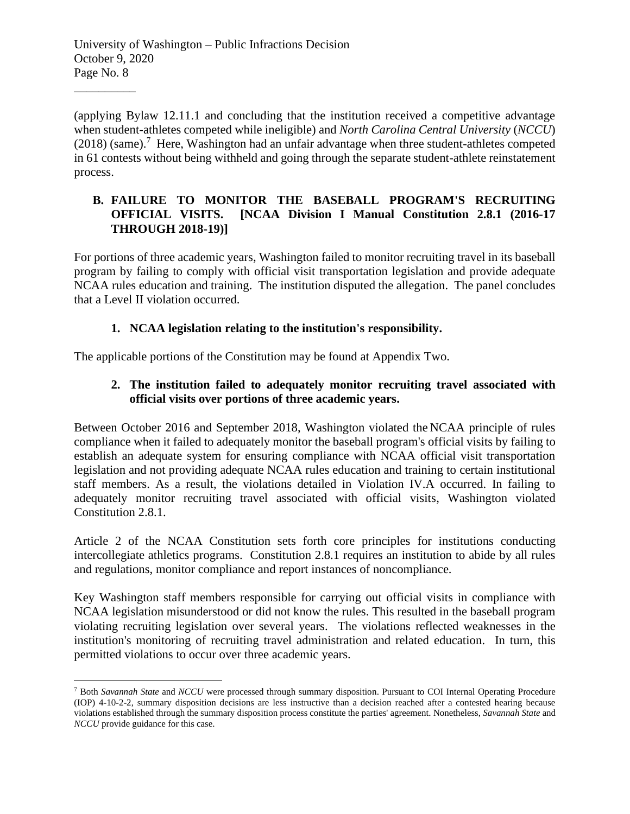(applying Bylaw 12.11.1 and concluding that the institution received a competitive advantage when student-athletes competed while ineligible) and *North Carolina Central University* (*NCCU*)  $(2018)$  (same).<sup>7</sup> Here, Washington had an unfair advantage when three student-athletes competed in 61 contests without being withheld and going through the separate student-athlete reinstatement process.

## **B. FAILURE TO MONITOR THE BASEBALL PROGRAM'S RECRUITING OFFICIAL VISITS. [NCAA Division I Manual Constitution 2.8.1 (2016-17 THROUGH 2018-19)]**

For portions of three academic years, Washington failed to monitor recruiting travel in its baseball program by failing to comply with official visit transportation legislation and provide adequate NCAA rules education and training. The institution disputed the allegation. The panel concludes that a Level II violation occurred.

# **1. NCAA legislation relating to the institution's responsibility.**

The applicable portions of the Constitution may be found at Appendix Two.

# **2. The institution failed to adequately monitor recruiting travel associated with official visits over portions of three academic years.**

Between October 2016 and September 2018, Washington violated the NCAA principle of rules compliance when it failed to adequately monitor the baseball program's official visits by failing to establish an adequate system for ensuring compliance with NCAA official visit transportation legislation and not providing adequate NCAA rules education and training to certain institutional staff members. As a result, the violations detailed in Violation IV.A occurred. In failing to adequately monitor recruiting travel associated with official visits, Washington violated Constitution 2.8.1.

Article 2 of the NCAA Constitution sets forth core principles for institutions conducting intercollegiate athletics programs. Constitution 2.8.1 requires an institution to abide by all rules and regulations, monitor compliance and report instances of noncompliance.

Key Washington staff members responsible for carrying out official visits in compliance with NCAA legislation misunderstood or did not know the rules. This resulted in the baseball program violating recruiting legislation over several years. The violations reflected weaknesses in the institution's monitoring of recruiting travel administration and related education. In turn, this permitted violations to occur over three academic years.

<sup>7</sup> Both *Savannah State* and *NCCU* were processed through summary disposition. Pursuant to COI Internal Operating Procedure (IOP) 4-10-2-2, summary disposition decisions are less instructive than a decision reached after a contested hearing because violations established through the summary disposition process constitute the parties' agreement. Nonetheless, *Savannah State* and *NCCU* provide guidance for this case.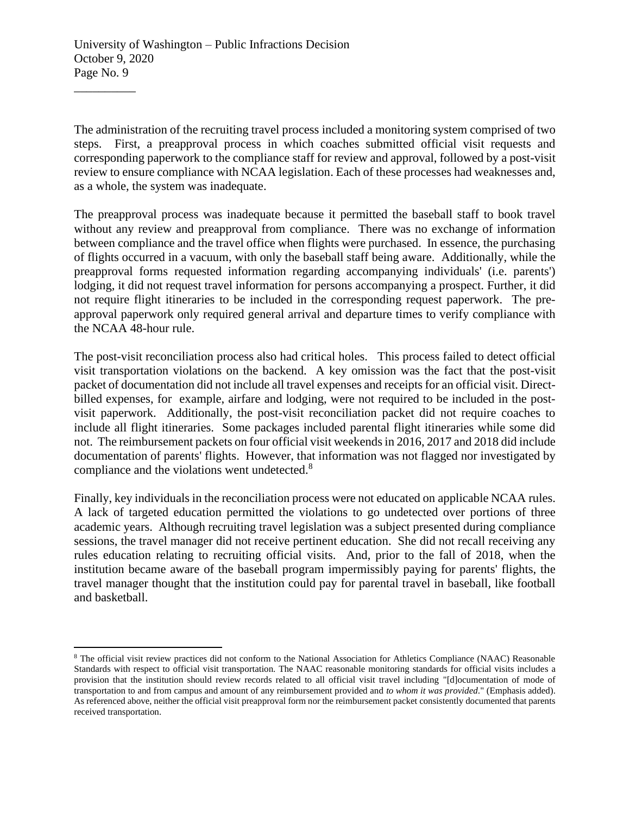The administration of the recruiting travel process included a monitoring system comprised of two steps. First, a preapproval process in which coaches submitted official visit requests and corresponding paperwork to the compliance staff for review and approval, followed by a post-visit review to ensure compliance with NCAA legislation. Each of these processes had weaknesses and, as a whole, the system was inadequate.

The preapproval process was inadequate because it permitted the baseball staff to book travel without any review and preapproval from compliance. There was no exchange of information between compliance and the travel office when flights were purchased. In essence, the purchasing of flights occurred in a vacuum, with only the baseball staff being aware. Additionally, while the preapproval forms requested information regarding accompanying individuals' (i.e. parents') lodging, it did not request travel information for persons accompanying a prospect. Further, it did not require flight itineraries to be included in the corresponding request paperwork. The preapproval paperwork only required general arrival and departure times to verify compliance with the NCAA 48-hour rule.

The post-visit reconciliation process also had critical holes. This process failed to detect official visit transportation violations on the backend. A key omission was the fact that the post-visit packet of documentation did not include all travel expenses and receipts for an official visit. Directbilled expenses, for example, airfare and lodging, were not required to be included in the postvisit paperwork. Additionally, the post-visit reconciliation packet did not require coaches to include all flight itineraries. Some packages included parental flight itineraries while some did not. The reimbursement packets on four official visit weekends in 2016, 2017 and 2018 did include documentation of parents' flights. However, that information was not flagged nor investigated by compliance and the violations went undetected.<sup>8</sup>

Finally, key individuals in the reconciliation process were not educated on applicable NCAA rules. A lack of targeted education permitted the violations to go undetected over portions of three academic years. Although recruiting travel legislation was a subject presented during compliance sessions, the travel manager did not receive pertinent education. She did not recall receiving any rules education relating to recruiting official visits. And, prior to the fall of 2018, when the institution became aware of the baseball program impermissibly paying for parents' flights, the travel manager thought that the institution could pay for parental travel in baseball, like football and basketball.

<sup>8</sup> The official visit review practices did not conform to the National Association for Athletics Compliance (NAAC) Reasonable Standards with respect to official visit transportation. The NAAC reasonable monitoring standards for official visits includes a provision that the institution should review records related to all official visit travel including "[d]ocumentation of mode of transportation to and from campus and amount of any reimbursement provided and *to whom it was provided*." (Emphasis added). As referenced above, neither the official visit preapproval form nor the reimbursement packet consistently documented that parents received transportation.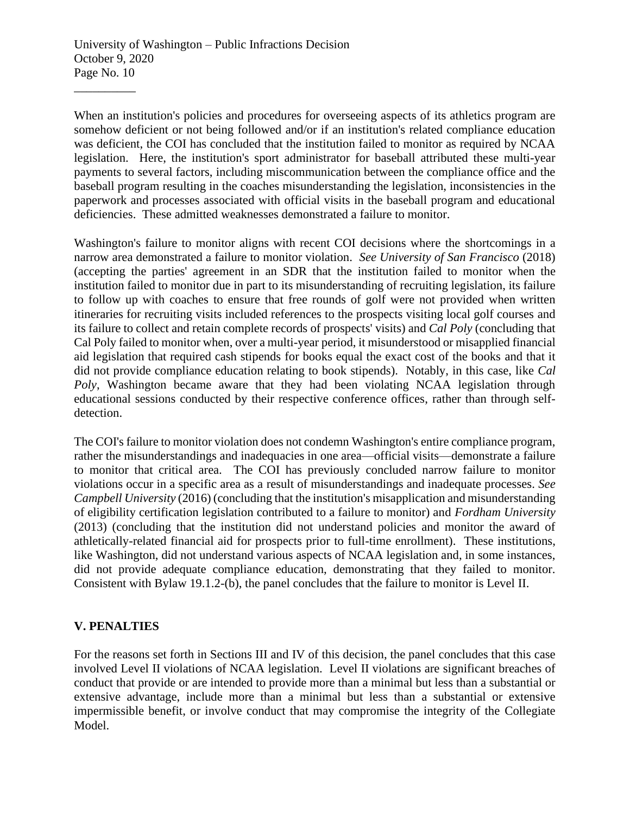When an institution's policies and procedures for overseeing aspects of its athletics program are somehow deficient or not being followed and/or if an institution's related compliance education was deficient, the COI has concluded that the institution failed to monitor as required by NCAA legislation. Here, the institution's sport administrator for baseball attributed these multi-year payments to several factors, including miscommunication between the compliance office and the baseball program resulting in the coaches misunderstanding the legislation, inconsistencies in the paperwork and processes associated with official visits in the baseball program and educational deficiencies. These admitted weaknesses demonstrated a failure to monitor.

Washington's failure to monitor aligns with recent COI decisions where the shortcomings in a narrow area demonstrated a failure to monitor violation. *See University of San Francisco* (2018) (accepting the parties' agreement in an SDR that the institution failed to monitor when the institution failed to monitor due in part to its misunderstanding of recruiting legislation, its failure to follow up with coaches to ensure that free rounds of golf were not provided when written itineraries for recruiting visits included references to the prospects visiting local golf courses and its failure to collect and retain complete records of prospects' visits) and *Cal Poly* (concluding that Cal Poly failed to monitor when, over a multi-year period, it misunderstood or misapplied financial aid legislation that required cash stipends for books equal the exact cost of the books and that it did not provide compliance education relating to book stipends). Notably, in this case, like *Cal Poly*, Washington became aware that they had been violating NCAA legislation through educational sessions conducted by their respective conference offices, rather than through selfdetection.

The COI's failure to monitor violation does not condemn Washington's entire compliance program, rather the misunderstandings and inadequacies in one area—official visits—demonstrate a failure to monitor that critical area. The COI has previously concluded narrow failure to monitor violations occur in a specific area as a result of misunderstandings and inadequate processes. *See Campbell University* (2016) (concluding that the institution's misapplication and misunderstanding of eligibility certification legislation contributed to a failure to monitor) and *Fordham University* (2013) (concluding that the institution did not understand policies and monitor the award of athletically-related financial aid for prospects prior to full-time enrollment). These institutions, like Washington, did not understand various aspects of NCAA legislation and, in some instances, did not provide adequate compliance education, demonstrating that they failed to monitor. Consistent with Bylaw 19.1.2-(b), the panel concludes that the failure to monitor is Level II.

## **V. PENALTIES**

For the reasons set forth in Sections III and IV of this decision, the panel concludes that this case involved Level II violations of NCAA legislation. Level II violations are significant breaches of conduct that provide or are intended to provide more than a minimal but less than a substantial or extensive advantage, include more than a minimal but less than a substantial or extensive impermissible benefit, or involve conduct that may compromise the integrity of the Collegiate Model.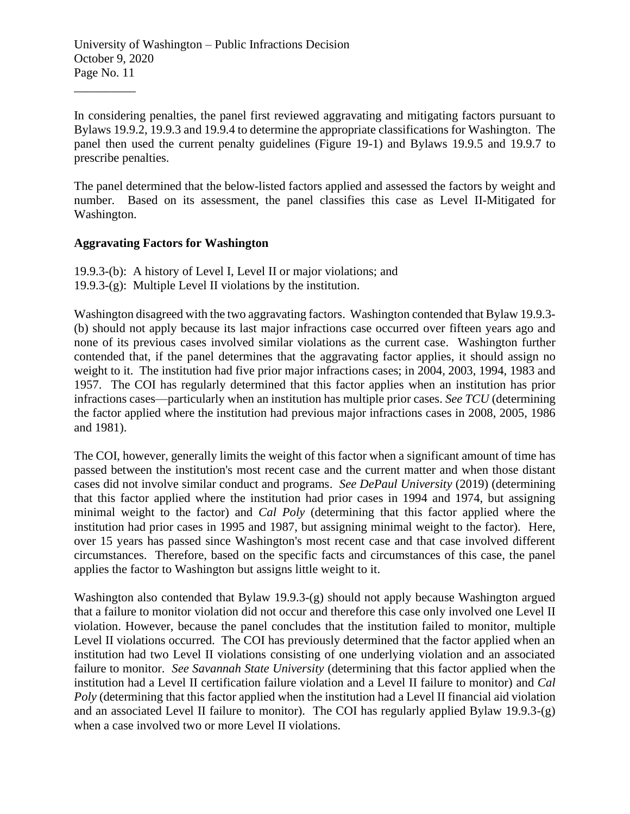University of Washington – Public Infractions Decision October 9, 2020 Page No. 11

In considering penalties, the panel first reviewed aggravating and mitigating factors pursuant to Bylaws 19.9.2, 19.9.3 and 19.9.4 to determine the appropriate classifications for Washington. The panel then used the current penalty guidelines (Figure 19-1) and Bylaws 19.9.5 and 19.9.7 to prescribe penalties.

The panel determined that the below-listed factors applied and assessed the factors by weight and number. Based on its assessment, the panel classifies this case as Level II-Mitigated for Washington.

#### **Aggravating Factors for Washington**

\_\_\_\_\_\_\_\_\_\_

19.9.3-(b): A history of Level I, Level II or major violations; and 19.9.3-(g): Multiple Level II violations by the institution.

Washington disagreed with the two aggravating factors. Washington contended that Bylaw 19.9.3- (b) should not apply because its last major infractions case occurred over fifteen years ago and none of its previous cases involved similar violations as the current case. Washington further contended that, if the panel determines that the aggravating factor applies, it should assign no weight to it. The institution had five prior major infractions cases; in 2004, 2003, 1994, 1983 and 1957. The COI has regularly determined that this factor applies when an institution has prior infractions cases—particularly when an institution has multiple prior cases. *See TCU* (determining the factor applied where the institution had previous major infractions cases in 2008, 2005, 1986 and 1981).

The COI, however, generally limits the weight of this factor when a significant amount of time has passed between the institution's most recent case and the current matter and when those distant cases did not involve similar conduct and programs. *See DePaul University* (2019) (determining that this factor applied where the institution had prior cases in 1994 and 1974, but assigning minimal weight to the factor) and *Cal Poly* (determining that this factor applied where the institution had prior cases in 1995 and 1987, but assigning minimal weight to the factor). Here, over 15 years has passed since Washington's most recent case and that case involved different circumstances. Therefore, based on the specific facts and circumstances of this case, the panel applies the factor to Washington but assigns little weight to it.

Washington also contended that Bylaw 19.9.3-(g) should not apply because Washington argued that a failure to monitor violation did not occur and therefore this case only involved one Level II violation. However, because the panel concludes that the institution failed to monitor, multiple Level II violations occurred. The COI has previously determined that the factor applied when an institution had two Level II violations consisting of one underlying violation and an associated failure to monitor. *See Savannah State University* (determining that this factor applied when the institution had a Level II certification failure violation and a Level II failure to monitor) and *Cal Poly* (determining that this factor applied when the institution had a Level II financial aid violation and an associated Level II failure to monitor). The COI has regularly applied Bylaw 19.9.3-(g) when a case involved two or more Level II violations.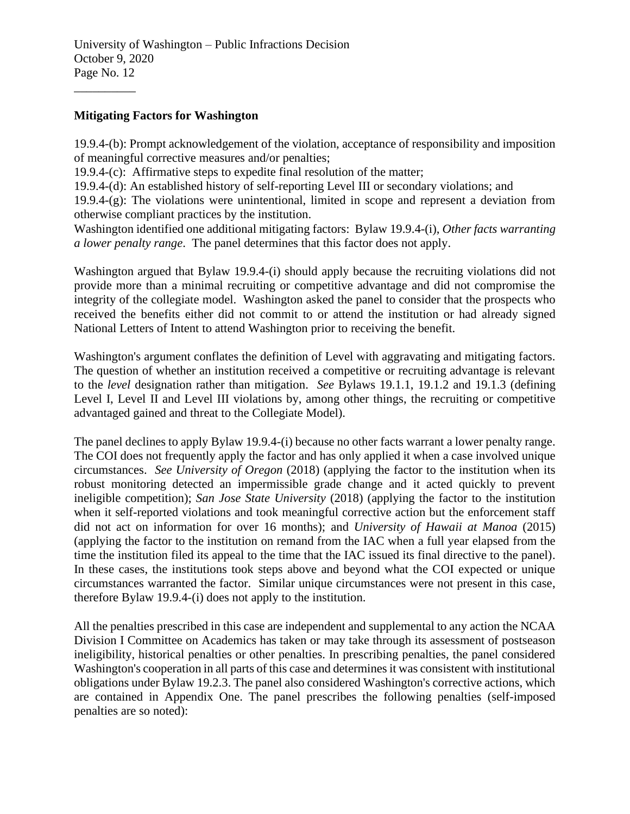University of Washington – Public Infractions Decision October 9, 2020 Page No. 12

#### **Mitigating Factors for Washington**

\_\_\_\_\_\_\_\_\_\_

19.9.4-(b): Prompt acknowledgement of the violation, acceptance of responsibility and imposition of meaningful corrective measures and/or penalties;

19.9.4-(c): Affirmative steps to expedite final resolution of the matter;

19.9.4-(d): An established history of self-reporting Level III or secondary violations; and

19.9.4-(g): The violations were unintentional, limited in scope and represent a deviation from otherwise compliant practices by the institution.

Washington identified one additional mitigating factors: Bylaw 19.9.4-(i), *Other facts warranting a lower penalty range*. The panel determines that this factor does not apply.

Washington argued that Bylaw 19.9.4-(i) should apply because the recruiting violations did not provide more than a minimal recruiting or competitive advantage and did not compromise the integrity of the collegiate model. Washington asked the panel to consider that the prospects who received the benefits either did not commit to or attend the institution or had already signed National Letters of Intent to attend Washington prior to receiving the benefit.

Washington's argument conflates the definition of Level with aggravating and mitigating factors. The question of whether an institution received a competitive or recruiting advantage is relevant to the *level* designation rather than mitigation. *See* Bylaws 19.1.1, 19.1.2 and 19.1.3 (defining Level I, Level II and Level III violations by, among other things, the recruiting or competitive advantaged gained and threat to the Collegiate Model).

The panel declines to apply Bylaw 19.9.4-(i) because no other facts warrant a lower penalty range. The COI does not frequently apply the factor and has only applied it when a case involved unique circumstances. *See University of Oregon* (2018) (applying the factor to the institution when its robust monitoring detected an impermissible grade change and it acted quickly to prevent ineligible competition); *San Jose State University* (2018) (applying the factor to the institution when it self-reported violations and took meaningful corrective action but the enforcement staff did not act on information for over 16 months); and *University of Hawaii at Manoa* (2015) (applying the factor to the institution on remand from the IAC when a full year elapsed from the time the institution filed its appeal to the time that the IAC issued its final directive to the panel). In these cases, the institutions took steps above and beyond what the COI expected or unique circumstances warranted the factor. Similar unique circumstances were not present in this case, therefore Bylaw 19.9.4-(i) does not apply to the institution.

All the penalties prescribed in this case are independent and supplemental to any action the NCAA Division I Committee on Academics has taken or may take through its assessment of postseason ineligibility, historical penalties or other penalties. In prescribing penalties, the panel considered Washington's cooperation in all parts of this case and determines it was consistent with institutional obligations under Bylaw 19.2.3. The panel also considered Washington's corrective actions, which are contained in Appendix One. The panel prescribes the following penalties (self-imposed penalties are so noted):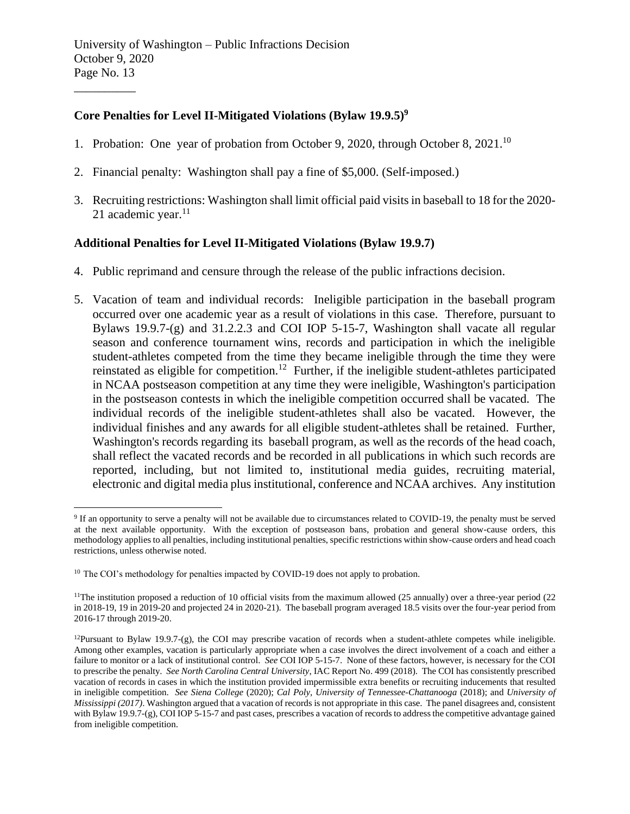## **Core Penalties for Level II-Mitigated Violations (Bylaw 19.9.5)<sup>9</sup>**

- 1. Probation: One year of probation from October 9, 2020, through October 8, 2021.<sup>10</sup>
- 2. Financial penalty: Washington shall pay a fine of \$5,000. (Self-imposed.)
- 3. Recruiting restrictions: Washington shall limit official paid visits in baseball to 18 for the 2020- 21 academic year. $11$

#### **Additional Penalties for Level II-Mitigated Violations (Bylaw 19.9.7)**

- 4. Public reprimand and censure through the release of the public infractions decision.
- 5. Vacation of team and individual records: Ineligible participation in the baseball program occurred over one academic year as a result of violations in this case. Therefore, pursuant to Bylaws 19.9.7-(g) and 31.2.2.3 and COI IOP 5-15-7, Washington shall vacate all regular season and conference tournament wins, records and participation in which the ineligible student-athletes competed from the time they became ineligible through the time they were reinstated as eligible for competition.<sup>12</sup> Further, if the ineligible student-athletes participated in NCAA postseason competition at any time they were ineligible, Washington's participation in the postseason contests in which the ineligible competition occurred shall be vacated. The individual records of the ineligible student-athletes shall also be vacated. However, the individual finishes and any awards for all eligible student-athletes shall be retained. Further, Washington's records regarding its baseball program, as well as the records of the head coach, shall reflect the vacated records and be recorded in all publications in which such records are reported, including, but not limited to, institutional media guides, recruiting material, electronic and digital media plus institutional, conference and NCAA archives. Any institution

<sup>&</sup>lt;sup>9</sup> If an opportunity to serve a penalty will not be available due to circumstances related to COVID-19, the penalty must be served at the next available opportunity. With the exception of postseason bans, probation and general show-cause orders, this methodology applies to all penalties, including institutional penalties, specific restrictions within show-cause orders and head coach restrictions, unless otherwise noted.

<sup>&</sup>lt;sup>10</sup> The COI's methodology for penalties impacted by COVID-19 does not apply to probation.

<sup>&</sup>lt;sup>11</sup>The institution proposed a reduction of 10 official visits from the maximum allowed (25 annually) over a three-year period (22 in 2018-19, 19 in 2019-20 and projected 24 in 2020-21). The baseball program averaged 18.5 visits over the four-year period from 2016-17 through 2019-20.

<sup>&</sup>lt;sup>12</sup>Pursuant to Bylaw 19.9.7-(g), the COI may prescribe vacation of records when a student-athlete competes while ineligible. Among other examples, vacation is particularly appropriate when a case involves the direct involvement of a coach and either a failure to monitor or a lack of institutional control. *See* COI IOP 5-15-7. None of these factors, however, is necessary for the COI to prescribe the penalty. *See North Carolina Central University*, IAC Report No. 499 (2018). The COI has consistently prescribed vacation of records in cases in which the institution provided impermissible extra benefits or recruiting inducements that resulted in ineligible competition. *See Siena College* (2020); *Cal Poly, University of Tennessee-Chattanooga* (2018); and *University of Mississippi (2017)*. Washington argued that a vacation of records is not appropriate in this case. The panel disagrees and, consistent with Bylaw 19.9.7-(g), COI IOP 5-15-7 and past cases, prescribes a vacation of records to address the competitive advantage gained from ineligible competition.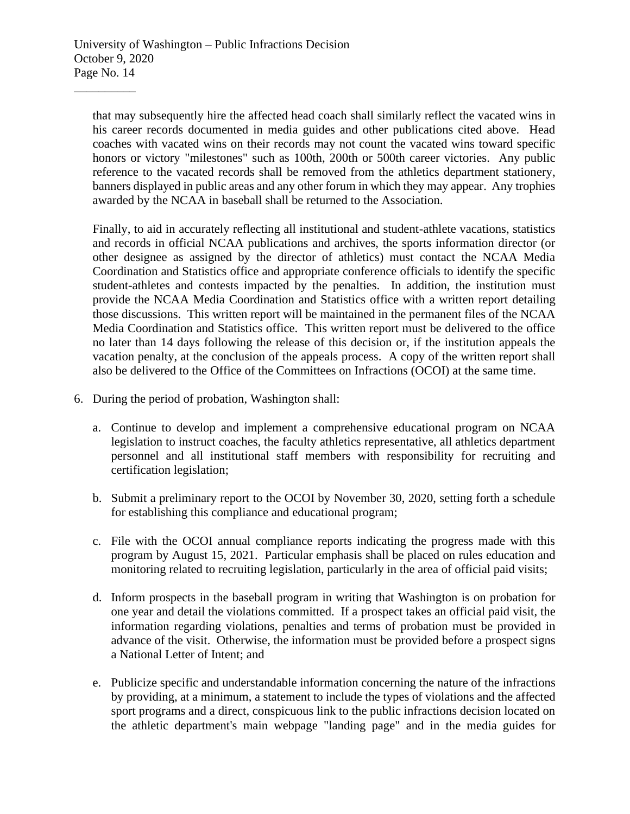that may subsequently hire the affected head coach shall similarly reflect the vacated wins in his career records documented in media guides and other publications cited above. Head coaches with vacated wins on their records may not count the vacated wins toward specific honors or victory "milestones" such as 100th, 200th or 500th career victories. Any public reference to the vacated records shall be removed from the athletics department stationery, banners displayed in public areas and any other forum in which they may appear. Any trophies awarded by the NCAA in baseball shall be returned to the Association.

Finally, to aid in accurately reflecting all institutional and student-athlete vacations, statistics and records in official NCAA publications and archives, the sports information director (or other designee as assigned by the director of athletics) must contact the NCAA Media Coordination and Statistics office and appropriate conference officials to identify the specific student-athletes and contests impacted by the penalties. In addition, the institution must provide the NCAA Media Coordination and Statistics office with a written report detailing those discussions. This written report will be maintained in the permanent files of the NCAA Media Coordination and Statistics office. This written report must be delivered to the office no later than 14 days following the release of this decision or, if the institution appeals the vacation penalty, at the conclusion of the appeals process. A copy of the written report shall also be delivered to the Office of the Committees on Infractions (OCOI) at the same time.

- 6. During the period of probation, Washington shall:
	- a. Continue to develop and implement a comprehensive educational program on NCAA legislation to instruct coaches, the faculty athletics representative, all athletics department personnel and all institutional staff members with responsibility for recruiting and certification legislation;
	- b. Submit a preliminary report to the OCOI by November 30, 2020, setting forth a schedule for establishing this compliance and educational program;
	- c. File with the OCOI annual compliance reports indicating the progress made with this program by August 15, 2021. Particular emphasis shall be placed on rules education and monitoring related to recruiting legislation, particularly in the area of official paid visits;
	- d. Inform prospects in the baseball program in writing that Washington is on probation for one year and detail the violations committed. If a prospect takes an official paid visit, the information regarding violations, penalties and terms of probation must be provided in advance of the visit. Otherwise, the information must be provided before a prospect signs a National Letter of Intent; and
	- e. Publicize specific and understandable information concerning the nature of the infractions by providing, at a minimum, a statement to include the types of violations and the affected sport programs and a direct, conspicuous link to the public infractions decision located on the athletic department's main webpage "landing page" and in the media guides for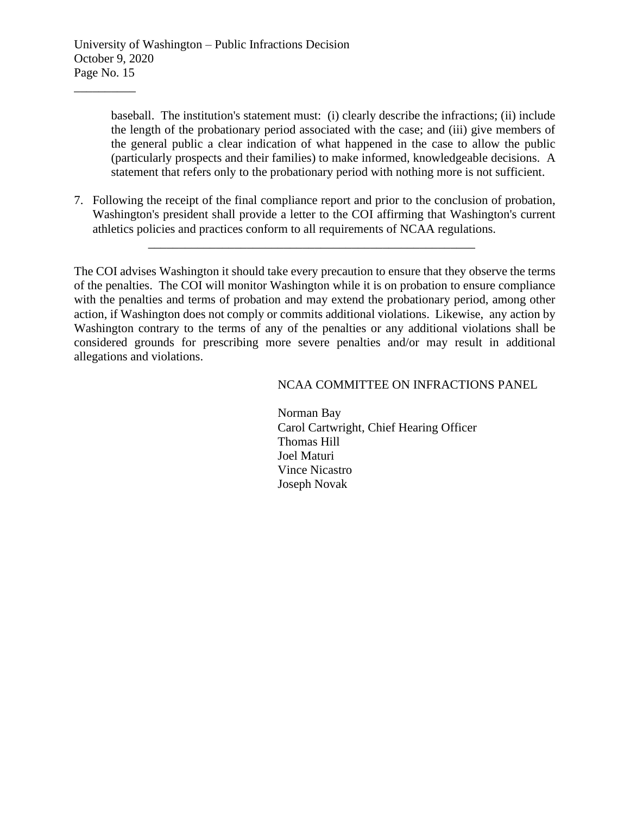baseball. The institution's statement must: (i) clearly describe the infractions; (ii) include the length of the probationary period associated with the case; and (iii) give members of the general public a clear indication of what happened in the case to allow the public (particularly prospects and their families) to make informed, knowledgeable decisions. A statement that refers only to the probationary period with nothing more is not sufficient.

7. Following the receipt of the final compliance report and prior to the conclusion of probation, Washington's president shall provide a letter to the COI affirming that Washington's current athletics policies and practices conform to all requirements of NCAA regulations.

\_\_\_\_\_\_\_\_\_\_\_\_\_\_\_\_\_\_\_\_\_\_\_\_\_\_\_\_\_\_\_\_\_\_\_\_\_\_\_\_\_\_\_\_\_\_\_\_\_\_\_\_\_

The COI advises Washington it should take every precaution to ensure that they observe the terms of the penalties. The COI will monitor Washington while it is on probation to ensure compliance with the penalties and terms of probation and may extend the probationary period, among other action, if Washington does not comply or commits additional violations. Likewise, any action by Washington contrary to the terms of any of the penalties or any additional violations shall be considered grounds for prescribing more severe penalties and/or may result in additional allegations and violations.

#### NCAA COMMITTEE ON INFRACTIONS PANEL

Norman Bay Carol Cartwright, Chief Hearing Officer Thomas Hill Joel Maturi Vince Nicastro Joseph Novak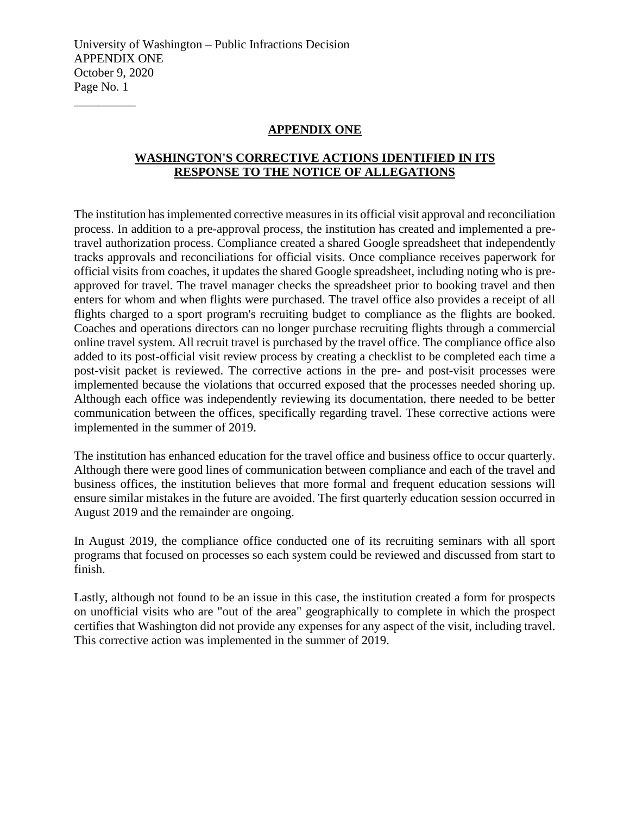#### **APPENDIX ONE**

## **WASHINGTON'S CORRECTIVE ACTIONS IDENTIFIED IN ITS RESPONSE TO THE NOTICE OF ALLEGATIONS**

The institution has implemented corrective measures in its official visit approval and reconciliation process. In addition to a pre-approval process, the institution has created and implemented a pretravel authorization process. Compliance created a shared Google spreadsheet that independently tracks approvals and reconciliations for official visits. Once compliance receives paperwork for official visits from coaches, it updates the shared Google spreadsheet, including noting who is preapproved for travel. The travel manager checks the spreadsheet prior to booking travel and then enters for whom and when flights were purchased. The travel office also provides a receipt of all flights charged to a sport program's recruiting budget to compliance as the flights are booked. Coaches and operations directors can no longer purchase recruiting flights through a commercial online travel system. All recruit travel is purchased by the travel office. The compliance office also added to its post-official visit review process by creating a checklist to be completed each time a post-visit packet is reviewed. The corrective actions in the pre- and post-visit processes were implemented because the violations that occurred exposed that the processes needed shoring up. Although each office was independently reviewing its documentation, there needed to be better communication between the offices, specifically regarding travel. These corrective actions were implemented in the summer of 2019.

The institution has enhanced education for the travel office and business office to occur quarterly. Although there were good lines of communication between compliance and each of the travel and business offices, the institution believes that more formal and frequent education sessions will ensure similar mistakes in the future are avoided. The first quarterly education session occurred in August 2019 and the remainder are ongoing.

In August 2019, the compliance office conducted one of its recruiting seminars with all sport programs that focused on processes so each system could be reviewed and discussed from start to finish.

Lastly, although not found to be an issue in this case, the institution created a form for prospects on unofficial visits who are "out of the area" geographically to complete in which the prospect certifies that Washington did not provide any expenses for any aspect of the visit, including travel. This corrective action was implemented in the summer of 2019.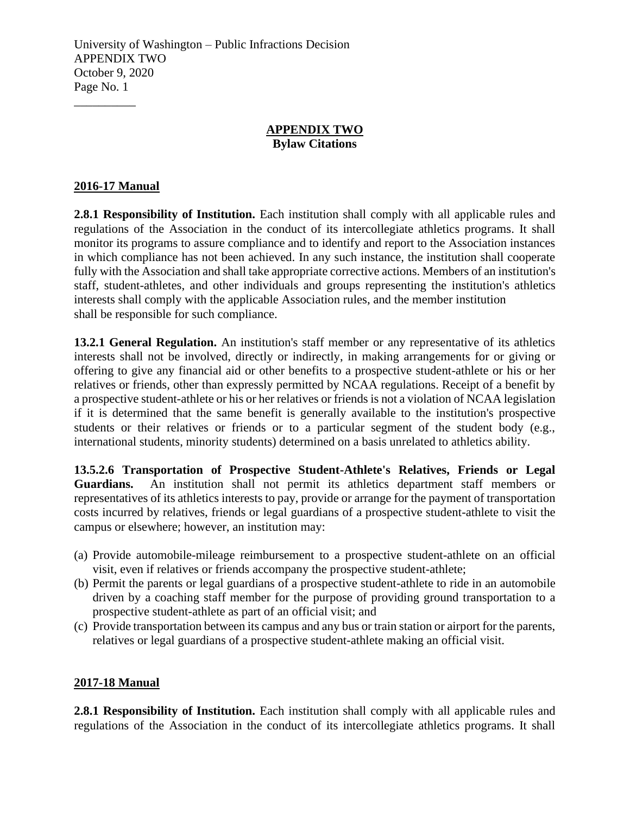#### **APPENDIX TWO Bylaw Citations**

## **2016-17 Manual**

\_\_\_\_\_\_\_\_\_\_

**2.8.1 Responsibility of Institution.** Each institution shall comply with all applicable rules and regulations of the Association in the conduct of its intercollegiate athletics programs. It shall monitor its programs to assure compliance and to identify and report to the Association instances in which compliance has not been achieved. In any such instance, the institution shall cooperate fully with the Association and shall take appropriate corrective actions. Members of an institution's staff, student-athletes, and other individuals and groups representing the institution's athletics interests shall comply with the applicable Association rules, and the member institution shall be responsible for such compliance.

**13.2.1 General Regulation.** An institution's staff member or any representative of its athletics interests shall not be involved, directly or indirectly, in making arrangements for or giving or offering to give any financial aid or other benefits to a prospective student-athlete or his or her relatives or friends, other than expressly permitted by NCAA regulations. Receipt of a benefit by a prospective student-athlete or his or her relatives or friends is not a violation of NCAA legislation if it is determined that the same benefit is generally available to the institution's prospective students or their relatives or friends or to a particular segment of the student body (e.g., international students, minority students) determined on a basis unrelated to athletics ability.

**13.5.2.6 Transportation of Prospective Student-Athlete's Relatives, Friends or Legal Guardians.** An institution shall not permit its athletics department staff members or representatives of its athletics interests to pay, provide or arrange for the payment of transportation costs incurred by relatives, friends or legal guardians of a prospective student-athlete to visit the campus or elsewhere; however, an institution may:

- (a) Provide automobile-mileage reimbursement to a prospective student-athlete on an official visit, even if relatives or friends accompany the prospective student-athlete;
- (b) Permit the parents or legal guardians of a prospective student-athlete to ride in an automobile driven by a coaching staff member for the purpose of providing ground transportation to a prospective student-athlete as part of an official visit; and
- (c) Provide transportation between its campus and any bus or train station or airport for the parents, relatives or legal guardians of a prospective student-athlete making an official visit.

## **2017-18 Manual**

**2.8.1 Responsibility of Institution.** Each institution shall comply with all applicable rules and regulations of the Association in the conduct of its intercollegiate athletics programs. It shall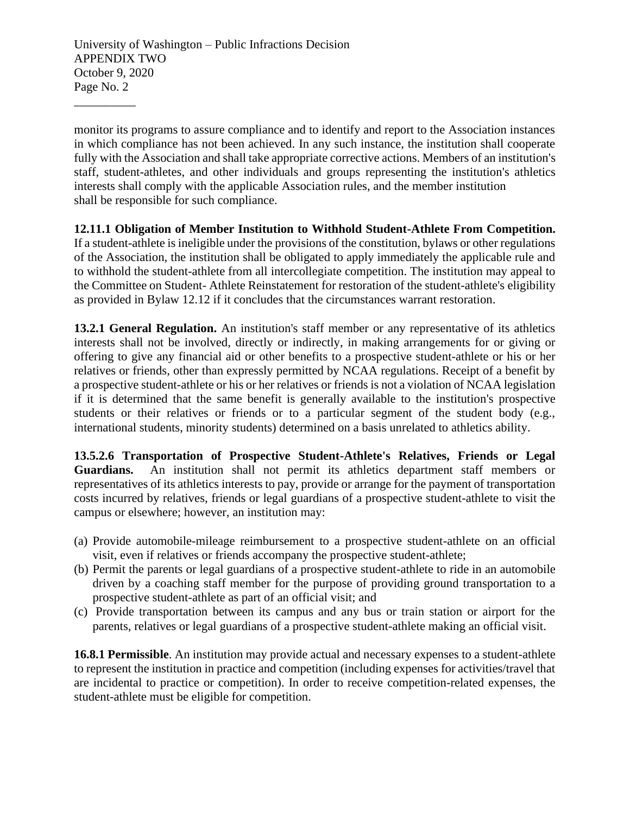University of Washington – Public Infractions Decision APPENDIX TWO October 9, 2020 Page No. 2

\_\_\_\_\_\_\_\_\_\_

monitor its programs to assure compliance and to identify and report to the Association instances in which compliance has not been achieved. In any such instance, the institution shall cooperate fully with the Association and shall take appropriate corrective actions. Members of an institution's staff, student-athletes, and other individuals and groups representing the institution's athletics interests shall comply with the applicable Association rules, and the member institution shall be responsible for such compliance.

#### **12.11.1 Obligation of Member Institution to Withhold Student-Athlete From Competition.**

If a student-athlete is ineligible under the provisions of the constitution, bylaws or other regulations of the Association, the institution shall be obligated to apply immediately the applicable rule and to withhold the student-athlete from all intercollegiate competition. The institution may appeal to the Committee on Student- Athlete Reinstatement for restoration of the student-athlete's eligibility as provided in Bylaw 12.12 if it concludes that the circumstances warrant restoration.

**13.2.1 General Regulation.** An institution's staff member or any representative of its athletics interests shall not be involved, directly or indirectly, in making arrangements for or giving or offering to give any financial aid or other benefits to a prospective student-athlete or his or her relatives or friends, other than expressly permitted by NCAA regulations. Receipt of a benefit by a prospective student-athlete or his or her relatives or friends is not a violation of NCAA legislation if it is determined that the same benefit is generally available to the institution's prospective students or their relatives or friends or to a particular segment of the student body (e.g., international students, minority students) determined on a basis unrelated to athletics ability.

**13.5.2.6 Transportation of Prospective Student-Athlete's Relatives, Friends or Legal Guardians.** An institution shall not permit its athletics department staff members or representatives of its athletics interests to pay, provide or arrange for the payment of transportation costs incurred by relatives, friends or legal guardians of a prospective student-athlete to visit the campus or elsewhere; however, an institution may:

- (a) Provide automobile-mileage reimbursement to a prospective student-athlete on an official visit, even if relatives or friends accompany the prospective student-athlete;
- (b) Permit the parents or legal guardians of a prospective student-athlete to ride in an automobile driven by a coaching staff member for the purpose of providing ground transportation to a prospective student-athlete as part of an official visit; and
- (c) Provide transportation between its campus and any bus or train station or airport for the parents, relatives or legal guardians of a prospective student-athlete making an official visit.

**16.8.1 Permissible**. An institution may provide actual and necessary expenses to a student-athlete to represent the institution in practice and competition (including expenses for activities/travel that are incidental to practice or competition). In order to receive competition-related expenses, the student-athlete must be eligible for competition.